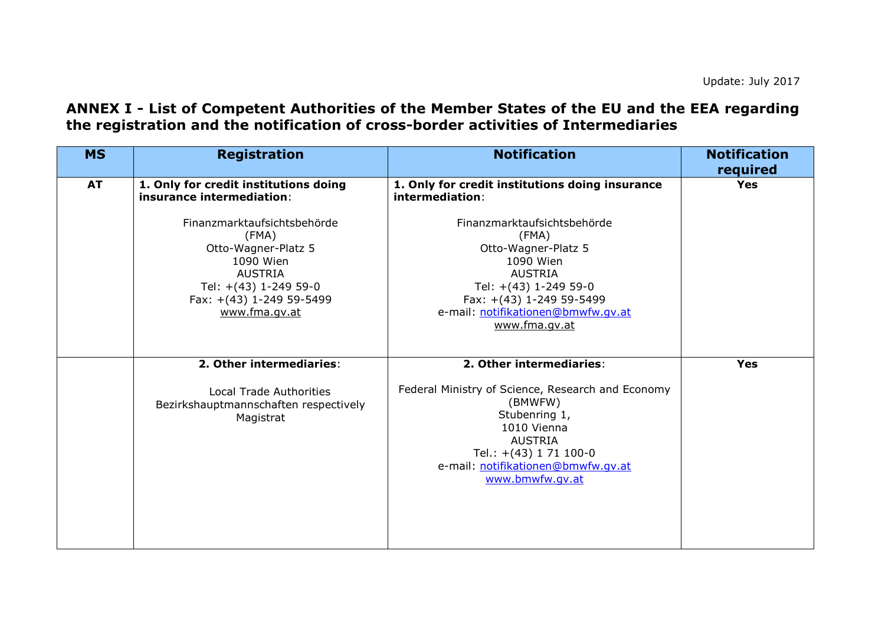## **ANNEX I - List of Competent Authorities of the Member States of the EU and the EEA regarding the registration and the notification of cross-border activities of Intermediaries**

| <b>MS</b> | <b>Registration</b>                                                                                                                                                                                                                    | <b>Notification</b>                                                                                                                                                                                                                                                          | <b>Notification</b><br>required |
|-----------|----------------------------------------------------------------------------------------------------------------------------------------------------------------------------------------------------------------------------------------|------------------------------------------------------------------------------------------------------------------------------------------------------------------------------------------------------------------------------------------------------------------------------|---------------------------------|
| <b>AT</b> | 1. Only for credit institutions doing<br>insurance intermediation:<br>Finanzmarktaufsichtsbehörde<br>(FMA)<br>Otto-Wagner-Platz 5<br>1090 Wien<br><b>AUSTRIA</b><br>Tel: +(43) 1-249 59-0<br>Fax: +(43) 1-249 59-5499<br>www.fma.gv.at | 1. Only for credit institutions doing insurance<br>intermediation:<br>Finanzmarktaufsichtsbehörde<br>(FMA)<br>Otto-Wagner-Platz 5<br>1090 Wien<br><b>AUSTRIA</b><br>Tel: +(43) 1-249 59-0<br>Fax: +(43) 1-249 59-5499<br>e-mail: notifikationen@bmwfw.qv.at<br>www.fma.gv.at | <b>Yes</b>                      |
|           | 2. Other intermediaries:<br><b>Local Trade Authorities</b><br>Bezirkshauptmannschaften respectively<br>Magistrat                                                                                                                       | 2. Other intermediaries:<br>Federal Ministry of Science, Research and Economy<br>(BMWFW)<br>Stubenring 1,<br>1010 Vienna<br><b>AUSTRIA</b><br>Tel.: $+(43)$ 1 71 100-0<br>e-mail: notifikationen@bmwfw.qv.at<br>www.bmwfw.qv.at                                              | <b>Yes</b>                      |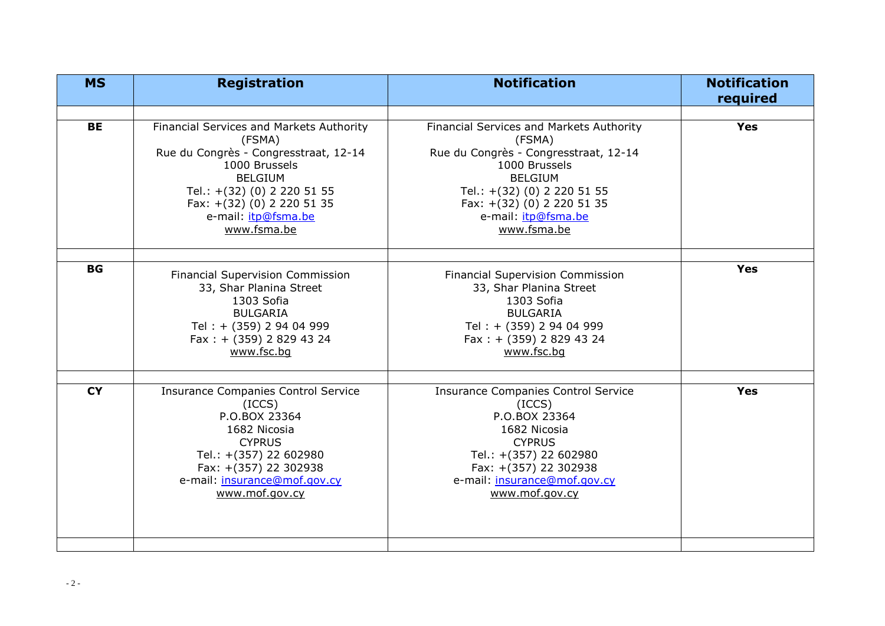| <b>MS</b> | <b>Registration</b>                                                                                                                                                                                                               | <b>Notification</b>                                                                                                                                                                                                               | <b>Notification</b><br>required |
|-----------|-----------------------------------------------------------------------------------------------------------------------------------------------------------------------------------------------------------------------------------|-----------------------------------------------------------------------------------------------------------------------------------------------------------------------------------------------------------------------------------|---------------------------------|
|           |                                                                                                                                                                                                                                   |                                                                                                                                                                                                                                   |                                 |
| <b>BE</b> | Financial Services and Markets Authority<br>(FSMA)<br>Rue du Congrès - Congresstraat, 12-14<br>1000 Brussels<br><b>BELGIUM</b><br>Tel.: +(32) (0) 2 220 51 55<br>Fax: +(32) (0) 2 220 51 35<br>e-mail: itp@fsma.be<br>www.fsma.be | Financial Services and Markets Authority<br>(FSMA)<br>Rue du Congrès - Congresstraat, 12-14<br>1000 Brussels<br><b>BELGIUM</b><br>Tel.: +(32) (0) 2 220 51 55<br>Fax: +(32) (0) 2 220 51 35<br>e-mail: itp@fsma.be<br>www.fsma.be | <b>Yes</b>                      |
|           |                                                                                                                                                                                                                                   |                                                                                                                                                                                                                                   |                                 |
| <b>BG</b> | <b>Financial Supervision Commission</b><br>33, Shar Planina Street<br>1303 Sofia<br><b>BULGARIA</b><br>Tel: + (359) 2 94 04 999<br>Fax: $+$ (359) 2 829 43 24<br>www.fsc.bg                                                       | Financial Supervision Commission<br>33, Shar Planina Street<br>1303 Sofia<br><b>BULGARIA</b><br>Tel: + (359) 2 94 04 999<br>Fax : $+$ (359) 2 829 43 24<br>www.fsc.bg                                                             | <b>Yes</b>                      |
| <b>CY</b> | <b>Insurance Companies Control Service</b><br>(ICCS)<br>P.O.BOX 23364<br>1682 Nicosia<br><b>CYPRUS</b><br>Tel.: +(357) 22 602980<br>Fax: +(357) 22 302938<br>e-mail: insurance@mof.gov.cy<br>www.mof.gov.cy                       | <b>Insurance Companies Control Service</b><br>(ICCS)<br>P.O.BOX 23364<br>1682 Nicosia<br><b>CYPRUS</b><br>Tel.: +(357) 22 602980<br>Fax: +(357) 22 302938<br>e-mail: insurance@mof.gov.cy<br>www.mof.gov.cy                       | <b>Yes</b>                      |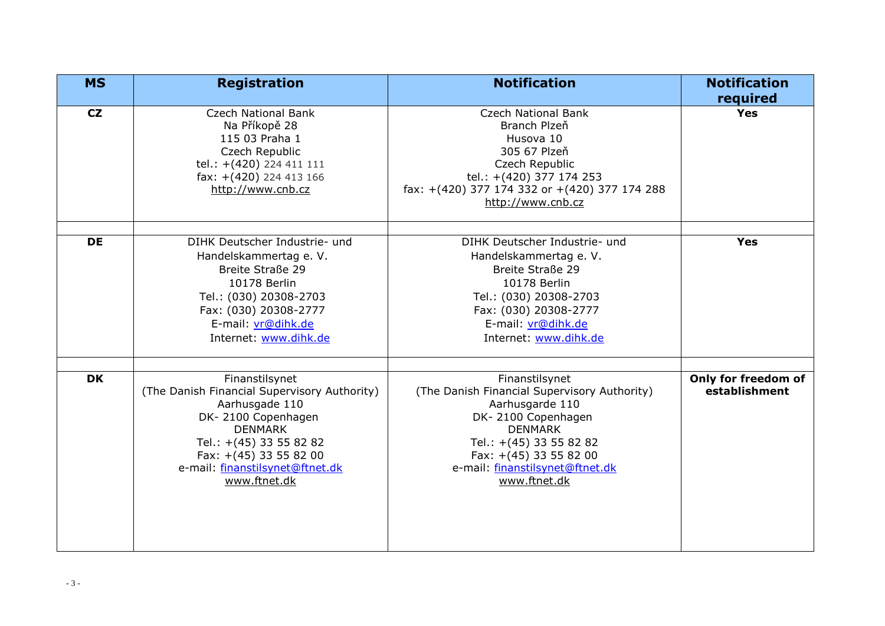| <b>MS</b> | <b>Registration</b>                                                                                                                                                                                                              | <b>Notification</b>                                                                                                                                                                                                                 | <b>Notification</b>                  |
|-----------|----------------------------------------------------------------------------------------------------------------------------------------------------------------------------------------------------------------------------------|-------------------------------------------------------------------------------------------------------------------------------------------------------------------------------------------------------------------------------------|--------------------------------------|
| CZ        | <b>Czech National Bank</b><br>Na Příkopě 28<br>115 03 Praha 1<br>Czech Republic<br>tel.: +(420) 224 411 111<br>fax: +(420) 224 413 166<br>http://www.cnb.cz                                                                      | <b>Czech National Bank</b><br>Branch Plzeň<br>Husova 10<br>305 67 Plzeň<br>Czech Republic<br>tel.: +(420) 377 174 253<br>fax: +(420) 377 174 332 or +(420) 377 174 288<br>http://www.cnb.cz                                         | required<br><b>Yes</b>               |
| <b>DE</b> | DIHK Deutscher Industrie- und<br>Handelskammertag e. V.<br>Breite Straße 29<br>10178 Berlin<br>Tel.: (030) 20308-2703<br>Fax: (030) 20308-2777<br>E-mail: vr@dihk.de<br>Internet: www.dihk.de                                    | DIHK Deutscher Industrie- und<br>Handelskammertag e. V.<br>Breite Straße 29<br>10178 Berlin<br>Tel.: (030) 20308-2703<br>Fax: (030) 20308-2777<br>E-mail: vr@dihk.de<br>Internet: www.dihk.de                                       | <b>Yes</b>                           |
| <b>DK</b> | Finanstilsynet<br>(The Danish Financial Supervisory Authority)<br>Aarhusgade 110<br>DK-2100 Copenhagen<br><b>DENMARK</b><br>Tel.: +(45) 33 55 82 82<br>Fax: +(45) 33 55 82 00<br>e-mail: finanstilsynet@ftnet.dk<br>www.ftnet.dk | Finanstilsynet<br>(The Danish Financial Supervisory Authority)<br>Aarhusgarde 110<br>DK-2100 Copenhagen<br><b>DENMARK</b><br>Tel.: +(45) 33 55 82 82<br>Fax: $+(45)$ 33 55 82 00<br>e-mail: finanstilsynet@ftnet.dk<br>www.ftnet.dk | Only for freedom of<br>establishment |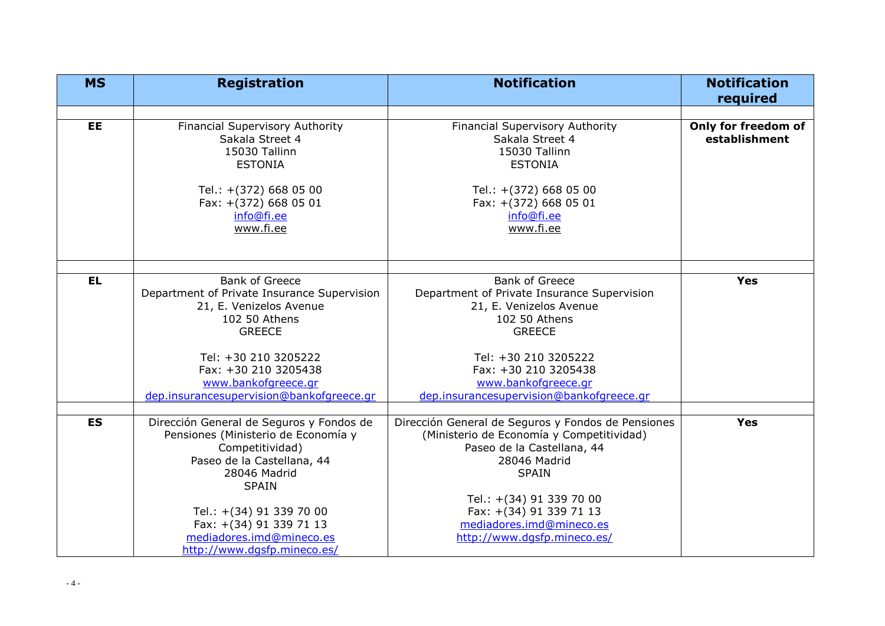| <b>MS</b> | <b>Registration</b>                                                                                                                                                                                                     | <b>Notification</b>                                                                                                                                                                                                                              | <b>Notification</b><br>required      |
|-----------|-------------------------------------------------------------------------------------------------------------------------------------------------------------------------------------------------------------------------|--------------------------------------------------------------------------------------------------------------------------------------------------------------------------------------------------------------------------------------------------|--------------------------------------|
|           |                                                                                                                                                                                                                         |                                                                                                                                                                                                                                                  |                                      |
| <b>EE</b> | Financial Supervisory Authority<br>Sakala Street 4<br>15030 Tallinn<br><b>ESTONIA</b>                                                                                                                                   | <b>Financial Supervisory Authority</b><br>Sakala Street 4<br>15030 Tallinn<br><b>ESTONIA</b>                                                                                                                                                     | Only for freedom of<br>establishment |
|           | Tel.: +(372) 668 05 00<br>Fax: +(372) 668 05 01<br>info@fi.ee<br>www.fi.ee                                                                                                                                              | Tel.: +(372) 668 05 00<br>Fax: +(372) 668 05 01<br>info@fi.ee<br>www.fi.ee                                                                                                                                                                       |                                      |
|           |                                                                                                                                                                                                                         |                                                                                                                                                                                                                                                  |                                      |
| <b>EL</b> | <b>Bank of Greece</b><br>Department of Private Insurance Supervision<br>21, E. Venizelos Avenue<br>102 50 Athens<br><b>GREECE</b>                                                                                       | <b>Bank of Greece</b><br>Department of Private Insurance Supervision<br>21, E. Venizelos Avenue<br>102 50 Athens<br><b>GREECE</b>                                                                                                                | <b>Yes</b>                           |
|           | Tel: +30 210 3205222<br>Fax: +30 210 3205438<br>www.bankofgreece.gr<br>dep.insurancesupervision@bankofgreece.gr                                                                                                         | Tel: +30 210 3205222<br>Fax: +30 210 3205438<br>www.bankofgreece.gr<br>dep.insurancesupervision@bankofgreece.gr                                                                                                                                  |                                      |
|           |                                                                                                                                                                                                                         |                                                                                                                                                                                                                                                  |                                      |
| <b>ES</b> | Dirección General de Seguros y Fondos de<br>Pensiones (Ministerio de Economía y<br>Competitividad)<br>Paseo de la Castellana, 44<br>28046 Madrid<br><b>SPAIN</b><br>Tel.: +(34) 91 339 70 00<br>Fax: +(34) 91 339 71 13 | Dirección General de Seguros y Fondos de Pensiones<br>(Ministerio de Economía y Competitividad)<br>Paseo de la Castellana, 44<br>28046 Madrid<br><b>SPAIN</b><br>Tel.: +(34) 91 339 70 00<br>Fax: +(34) 91 339 71 13<br>mediadores.imd@mineco.es | <b>Yes</b>                           |
|           | mediadores.imd@mineco.es<br>http://www.dqsfp.mineco.es/                                                                                                                                                                 | http://www.dqsfp.mineco.es/                                                                                                                                                                                                                      |                                      |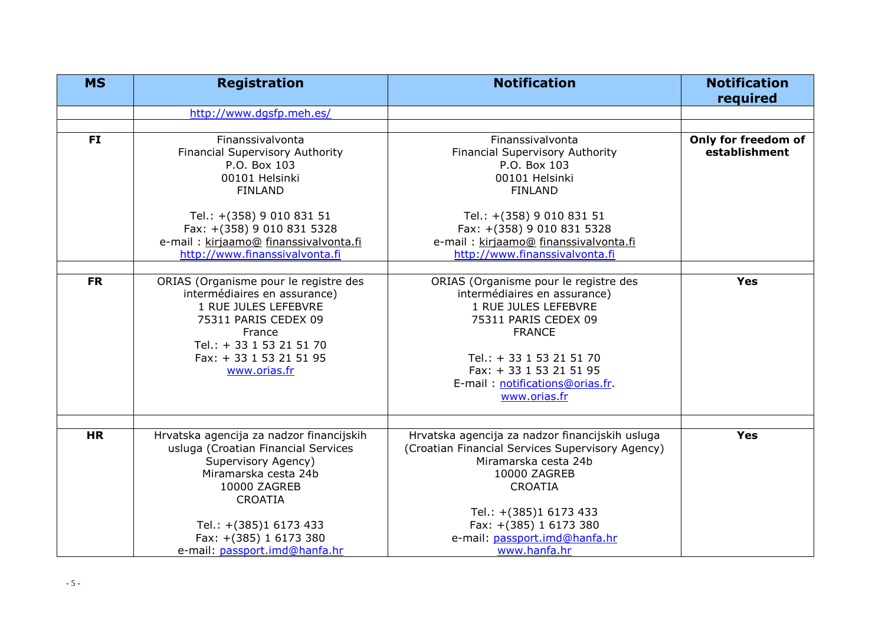| <b>MS</b> | <b>Registration</b>                                                                                                                                                                                    | <b>Notification</b>                                                                                                                                                                                                                              | <b>Notification</b><br>required      |
|-----------|--------------------------------------------------------------------------------------------------------------------------------------------------------------------------------------------------------|--------------------------------------------------------------------------------------------------------------------------------------------------------------------------------------------------------------------------------------------------|--------------------------------------|
|           | http://www.dqsfp.meh.es/                                                                                                                                                                               |                                                                                                                                                                                                                                                  |                                      |
|           |                                                                                                                                                                                                        |                                                                                                                                                                                                                                                  |                                      |
| <b>FI</b> | Finanssivalvonta<br>Financial Supervisory Authority<br>P.O. Box 103<br>00101 Helsinki<br><b>FINLAND</b>                                                                                                | Finanssivalvonta<br>Financial Supervisory Authority<br>P.O. Box 103<br>00101 Helsinki<br><b>FINLAND</b>                                                                                                                                          | Only for freedom of<br>establishment |
|           | Tel.: +(358) 9 010 831 51<br>Fax: +(358) 9 010 831 5328<br>e-mail: kirjaamo@ finanssivalvonta.fi<br>http://www.finanssivalvonta.fi                                                                     | Tel.: +(358) 9 010 831 51<br>Fax: +(358) 9 010 831 5328<br>e-mail: kirjaamo@ finanssivalvonta.fi<br>http://www.finanssivalvonta.fi                                                                                                               |                                      |
|           |                                                                                                                                                                                                        |                                                                                                                                                                                                                                                  |                                      |
| <b>FR</b> | ORIAS (Organisme pour le registre des<br>intermédiaires en assurance)<br>1 RUE JULES LEFEBVRE<br>75311 PARIS CEDEX 09<br>France<br>Tel.: + 33 1 53 21 51 70<br>Fax: + 33 1 53 21 51 95<br>www.orias.fr | ORIAS (Organisme pour le registre des<br>intermédiaires en assurance)<br>1 RUE JULES LEFEBVRE<br>75311 PARIS CEDEX 09<br><b>FRANCE</b><br>Tel.: + 33 1 53 21 51 70<br>Fax: + 33 1 53 21 51 95<br>E-mail: notifications@orias.fr.<br>www.orias.fr | <b>Yes</b>                           |
|           |                                                                                                                                                                                                        |                                                                                                                                                                                                                                                  |                                      |
| <b>HR</b> | Hrvatska agencija za nadzor financijskih<br>usluga (Croatian Financial Services<br>Supervisory Agency)<br>Miramarska cesta 24b<br>10000 ZAGREB<br><b>CROATIA</b>                                       | Hrvatska agencija za nadzor financijskih usluga<br>(Croatian Financial Services Supervisory Agency)<br>Miramarska cesta 24b<br>10000 ZAGREB<br><b>CROATIA</b>                                                                                    | Yes                                  |
|           | Tel.: +(385)1 6173 433<br>Fax: +(385) 1 6173 380<br>e-mail: passport.imd@hanfa.hr                                                                                                                      | Tel.: +(385)1 6173 433<br>Fax: +(385) 1 6173 380<br>e-mail: passport.imd@hanfa.hr<br>www.hanfa.hr                                                                                                                                                |                                      |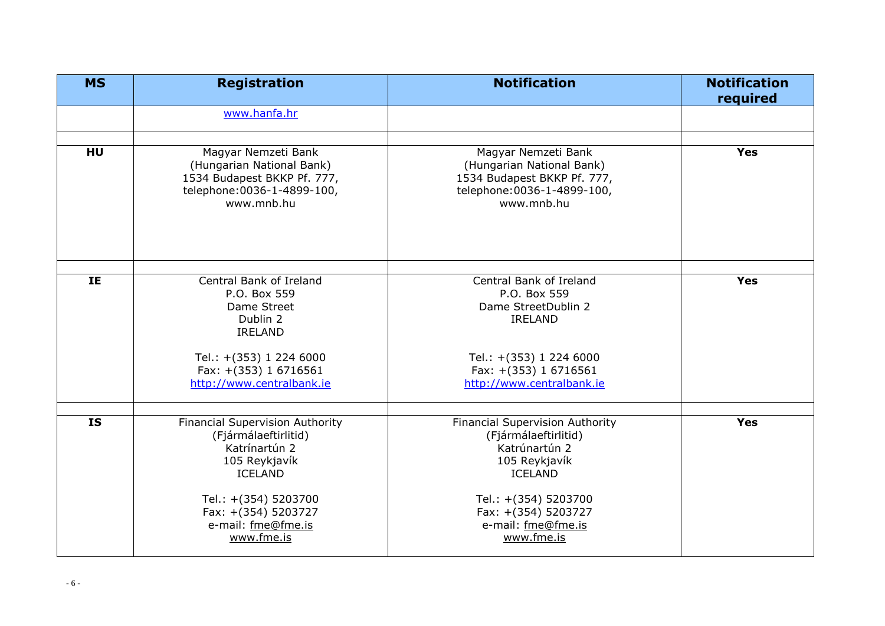| <b>MS</b> | <b>Registration</b>                                                                                                                                                                                   | <b>Notification</b>                                                                                                                                                                                   | <b>Notification</b><br>required |
|-----------|-------------------------------------------------------------------------------------------------------------------------------------------------------------------------------------------------------|-------------------------------------------------------------------------------------------------------------------------------------------------------------------------------------------------------|---------------------------------|
|           | www.hanfa.hr                                                                                                                                                                                          |                                                                                                                                                                                                       |                                 |
| HU        | Magyar Nemzeti Bank<br>(Hungarian National Bank)<br>1534 Budapest BKKP Pf. 777,<br>telephone: 0036-1-4899-100,<br>www.mnb.hu                                                                          | Magyar Nemzeti Bank<br>(Hungarian National Bank)<br>1534 Budapest BKKP Pf. 777,<br>telephone: 0036-1-4899-100,<br>www.mnb.hu                                                                          | <b>Yes</b>                      |
| IE        | Central Bank of Ireland<br>P.O. Box 559<br>Dame Street<br>Dublin 2<br><b>IRELAND</b><br>Tel.: +(353) 1 224 6000<br>Fax: +(353) 1 6716561<br>http://www.centralbank.ie                                 | Central Bank of Ireland<br>P.O. Box 559<br>Dame StreetDublin 2<br><b>IRELAND</b><br>Tel.: +(353) 1 224 6000<br>Fax: +(353) 1 6716561<br>http://www.centralbank.ie                                     | <b>Yes</b>                      |
| <b>IS</b> | <b>Financial Supervision Authority</b><br>(Fjármálaeftirlitid)<br>Katrínartún 2<br>105 Reykjavík<br><b>ICELAND</b><br>Tel.: +(354) 5203700<br>Fax: +(354) 5203727<br>e-mail: fme@fme.is<br>www.fme.is | <b>Financial Supervision Authority</b><br>(Fjármálaeftirlitid)<br>Katrúnartún 2<br>105 Reykjavík<br><b>ICELAND</b><br>Tel.: +(354) 5203700<br>Fax: +(354) 5203727<br>e-mail: fme@fme.is<br>www.fme.is | <b>Yes</b>                      |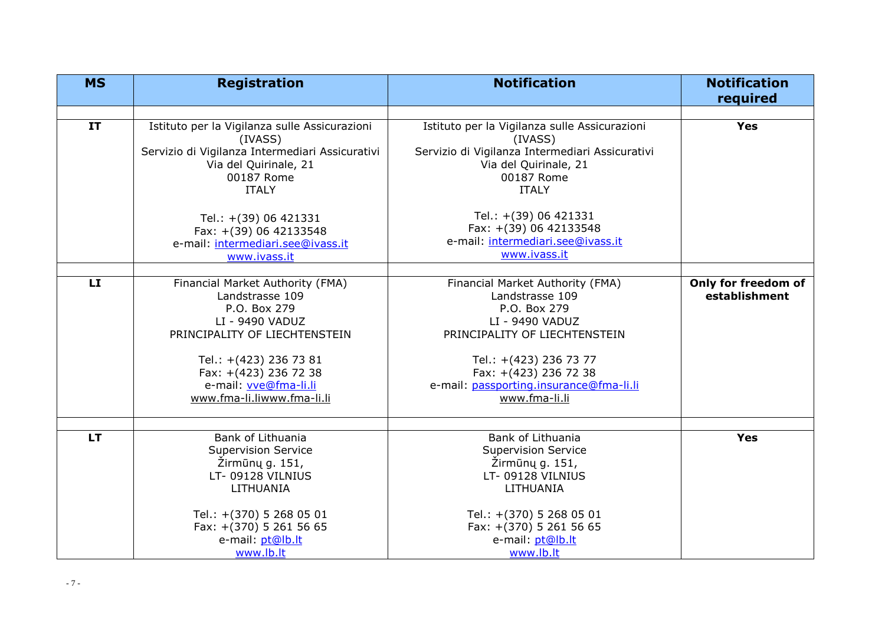| <b>MS</b> | <b>Registration</b>                                                                                                                                                                                                               | <b>Notification</b>                                                                                                                                                                                                                    | <b>Notification</b><br>required      |
|-----------|-----------------------------------------------------------------------------------------------------------------------------------------------------------------------------------------------------------------------------------|----------------------------------------------------------------------------------------------------------------------------------------------------------------------------------------------------------------------------------------|--------------------------------------|
|           |                                                                                                                                                                                                                                   |                                                                                                                                                                                                                                        |                                      |
| IT        | Istituto per la Vigilanza sulle Assicurazioni<br>(IVASS)<br>Servizio di Vigilanza Intermediari Assicurativi<br>Via del Quirinale, 21<br>00187 Rome<br><b>ITALY</b>                                                                | Istituto per la Vigilanza sulle Assicurazioni<br>(IVASS)<br>Servizio di Vigilanza Intermediari Assicurativi<br>Via del Quirinale, 21<br>00187 Rome<br><b>ITALY</b>                                                                     | <b>Yes</b>                           |
|           | Tel.: +(39) 06 421331<br>Fax: +(39) 06 42133548<br>e-mail: intermediari.see@ivass.it<br>www.ivass.it                                                                                                                              | Tel.: +(39) 06 421331<br>Fax: +(39) 06 42133548<br>e-mail: intermediari.see@ivass.it<br>www.ivass.it                                                                                                                                   |                                      |
|           |                                                                                                                                                                                                                                   |                                                                                                                                                                                                                                        |                                      |
| LI        | Financial Market Authority (FMA)<br>Landstrasse 109<br>P.O. Box 279<br>LI - 9490 VADUZ<br>PRINCIPALITY OF LIECHTENSTEIN<br>Tel.: +(423) 236 73 81<br>Fax: +(423) 236 72 38<br>e-mail: vve@fma-li.li<br>www.fma-li.liwww.fma-li.li | Financial Market Authority (FMA)<br>Landstrasse 109<br>P.O. Box 279<br>LI - 9490 VADUZ<br>PRINCIPALITY OF LIECHTENSTEIN<br>Tel.: +(423) 236 73 77<br>Fax: +(423) 236 72 38<br>e-mail: passporting.insurance@fma-li.li<br>www.fma-li.li | Only for freedom of<br>establishment |
| <b>LT</b> | Bank of Lithuania                                                                                                                                                                                                                 | Bank of Lithuania                                                                                                                                                                                                                      | <b>Yes</b>                           |
|           | <b>Supervision Service</b><br>Žirmūnų g. 151,<br>LT-09128 VILNIUS<br>LITHUANIA<br>Tel.: +(370) 5 268 05 01                                                                                                                        | <b>Supervision Service</b><br>Žirmūnų g. 151,<br>LT-09128 VILNIUS<br>LITHUANIA<br>Tel.: +(370) 5 268 05 01                                                                                                                             |                                      |
|           | Fax: +(370) 5 261 56 65<br>e-mail: pt@lb.lt<br>www.lb.lt                                                                                                                                                                          | Fax: +(370) 5 261 56 65<br>e-mail: pt@lb.lt<br>www.lb.lt                                                                                                                                                                               |                                      |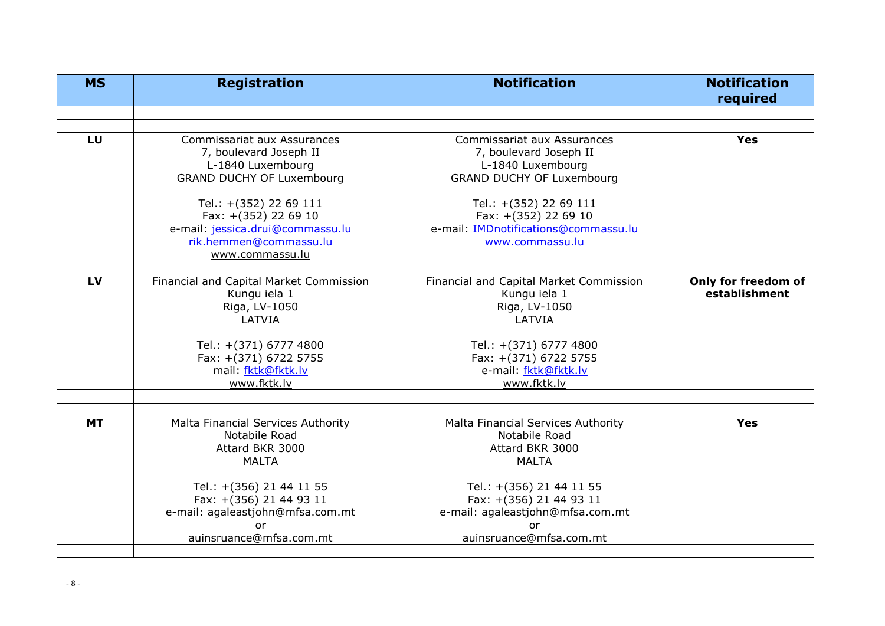| <b>MS</b> | <b>Registration</b>                                                                                                                             | <b>Notification</b>                                                                                                                      | <b>Notification</b><br>required      |
|-----------|-------------------------------------------------------------------------------------------------------------------------------------------------|------------------------------------------------------------------------------------------------------------------------------------------|--------------------------------------|
|           |                                                                                                                                                 |                                                                                                                                          |                                      |
|           |                                                                                                                                                 |                                                                                                                                          |                                      |
| LU        | <b>Commissariat aux Assurances</b><br>7, boulevard Joseph II<br>L-1840 Luxembourg<br><b>GRAND DUCHY OF Luxembourg</b><br>Tel.: +(352) 22 69 111 | Commissariat aux Assurances<br>7, boulevard Joseph II<br>L-1840 Luxembourg<br><b>GRAND DUCHY OF Luxembourg</b><br>Tel.: +(352) 22 69 111 | <b>Yes</b>                           |
|           | Fax: +(352) 22 69 10<br>e-mail: jessica.drui@commassu.lu<br>rik.hemmen@commassu.lu<br>www.commassu.lu                                           | Fax: +(352) 22 69 10<br>e-mail: <b>IMDnotifications@commassu.lu</b><br>www.commassu.lu                                                   |                                      |
| LV        | Financial and Capital Market Commission<br>Kungu iela 1<br>Riga, LV-1050<br>LATVIA<br>Tel.: +(371) 6777 4800                                    | Financial and Capital Market Commission<br>Kungu iela 1<br>Riga, LV-1050<br>LATVIA<br>Tel.: +(371) 6777 4800                             | Only for freedom of<br>establishment |
|           | Fax: +(371) 6722 5755<br>mail: fktk@fktk.lv<br>www.fktk.lv                                                                                      | Fax: +(371) 6722 5755<br>e-mail: fktk@fktk.lv<br>www.fktk.lv                                                                             |                                      |
| <b>MT</b> | Malta Financial Services Authority<br>Notabile Road<br>Attard BKR 3000<br><b>MALTA</b>                                                          | Malta Financial Services Authority<br>Notabile Road<br>Attard BKR 3000<br><b>MALTA</b>                                                   | Yes                                  |
|           | Tel.: +(356) 21 44 11 55<br>Fax: +(356) 21 44 93 11<br>e-mail: agaleastjohn@mfsa.com.mt<br>٥r<br>auinsruance@mfsa.com.mt                        | Tel.: +(356) 21 44 11 55<br>Fax: +(356) 21 44 93 11<br>e-mail: agaleastjohn@mfsa.com.mt<br>or<br>auinsruance@mfsa.com.mt                 |                                      |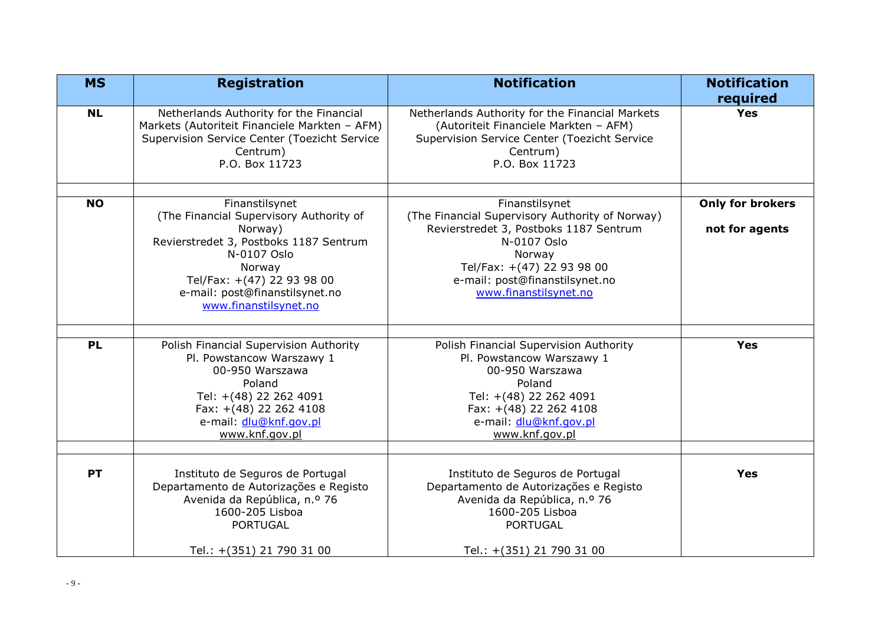| <b>MS</b> | <b>Registration</b>                                                                                                                                                                                                              | <b>Notification</b>                                                                                                                                                                                                           | <b>Notification</b><br>required           |
|-----------|----------------------------------------------------------------------------------------------------------------------------------------------------------------------------------------------------------------------------------|-------------------------------------------------------------------------------------------------------------------------------------------------------------------------------------------------------------------------------|-------------------------------------------|
| <b>NL</b> | Netherlands Authority for the Financial<br>Markets (Autoriteit Financiele Markten - AFM)<br>Supervision Service Center (Toezicht Service<br>Centrum)<br>P.O. Box 11723                                                           | Netherlands Authority for the Financial Markets<br>(Autoriteit Financiele Markten - AFM)<br>Supervision Service Center (Toezicht Service<br>Centrum)<br>P.O. Box 11723                                                        | <b>Yes</b>                                |
| <b>NO</b> | Finanstilsynet<br>(The Financial Supervisory Authority of<br>Norway)<br>Revierstredet 3, Postboks 1187 Sentrum<br>N-0107 Oslo<br>Norway<br>Tel/Fax: +(47) 22 93 98 00<br>e-mail: post@finanstilsynet.no<br>www.finanstilsynet.no | Finanstilsynet<br>(The Financial Supervisory Authority of Norway)<br>Revierstredet 3, Postboks 1187 Sentrum<br>N-0107 Oslo<br>Norway<br>Tel/Fax: +(47) 22 93 98 00<br>e-mail: post@finanstilsynet.no<br>www.finanstilsynet.no | <b>Only for brokers</b><br>not for agents |
| <b>PL</b> | Polish Financial Supervision Authority<br>Pl. Powstancow Warszawy 1<br>00-950 Warszawa<br>Poland<br>Tel: +(48) 22 262 4091<br>Fax: +(48) 22 262 4108<br>e-mail: dlu@knf.gov.pl<br>www.knf.gov.pl                                 | Polish Financial Supervision Authority<br>Pl. Powstancow Warszawy 1<br>00-950 Warszawa<br>Poland<br>Tel: +(48) 22 262 4091<br>Fax: +(48) 22 262 4108<br>e-mail: dlu@knf.gov.pl<br>www.knf.gov.pl                              | <b>Yes</b>                                |
| <b>PT</b> | Instituto de Seguros de Portugal<br>Departamento de Autorizações e Registo<br>Avenida da República, n.º 76<br>1600-205 Lisboa<br><b>PORTUGAL</b><br>Tel.: +(351) 21 790 31 00                                                    | Instituto de Seguros de Portugal<br>Departamento de Autorizações e Registo<br>Avenida da República, n.º 76<br>1600-205 Lisboa<br><b>PORTUGAL</b><br>Tel.: +(351) 21 790 31 00                                                 | <b>Yes</b>                                |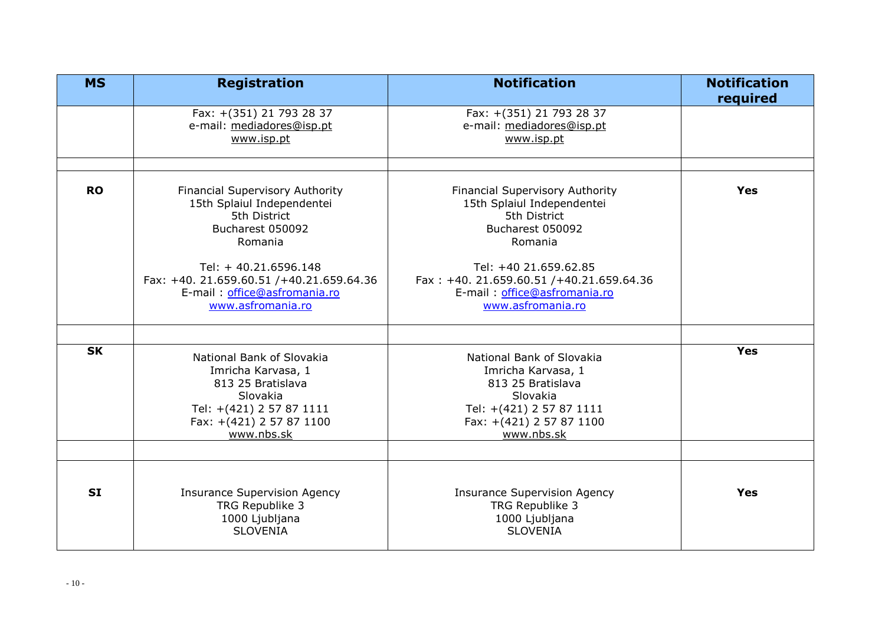| <b>MS</b> | <b>Registration</b>                                                                                                                                                                                                                   | <b>Notification</b>                                                                                                                                                                                                                    | <b>Notification</b> |
|-----------|---------------------------------------------------------------------------------------------------------------------------------------------------------------------------------------------------------------------------------------|----------------------------------------------------------------------------------------------------------------------------------------------------------------------------------------------------------------------------------------|---------------------|
|           | Fax: +(351) 21 793 28 37<br>e-mail: mediadores@isp.pt<br>www.isp.pt                                                                                                                                                                   | Fax: +(351) 21 793 28 37<br>e-mail: mediadores@isp.pt<br>www.isp.pt                                                                                                                                                                    | required            |
| <b>RO</b> | Financial Supervisory Authority<br>15th Splaiul Independentei<br>5th District<br>Bucharest 050092<br>Romania<br>Tel: +40.21.6596.148<br>Fax: +40. 21.659.60.51 /+40.21.659.64.36<br>E-mail: office@asfromania.ro<br>www.asfromania.ro | Financial Supervisory Authority<br>15th Splaiul Independentei<br>5th District<br>Bucharest 050092<br>Romania<br>Tel: +40 21.659.62.85<br>Fax: +40. 21.659.60.51 /+40.21.659.64.36<br>E-mail: office@asfromania.ro<br>www.asfromania.ro | Yes                 |
|           |                                                                                                                                                                                                                                       |                                                                                                                                                                                                                                        |                     |
| <b>SK</b> | National Bank of Slovakia<br>Imricha Karvasa, 1<br>813 25 Bratislava<br>Slovakia<br>Tel: +(421) 2 57 87 1111<br>Fax: +(421) 2 57 87 1100<br>www.nbs.sk                                                                                | National Bank of Slovakia<br>Imricha Karvasa, 1<br>813 25 Bratislava<br>Slovakia<br>Tel: +(421) 2 57 87 1111<br>Fax: +(421) 2 57 87 1100<br>www.nbs.sk                                                                                 | <b>Yes</b>          |
|           |                                                                                                                                                                                                                                       |                                                                                                                                                                                                                                        |                     |
| <b>SI</b> | <b>Insurance Supervision Agency</b><br>TRG Republike 3<br>1000 Ljubljana<br><b>SLOVENIA</b>                                                                                                                                           | <b>Insurance Supervision Agency</b><br>TRG Republike 3<br>1000 Ljubljana<br><b>SLOVENIA</b>                                                                                                                                            | Yes                 |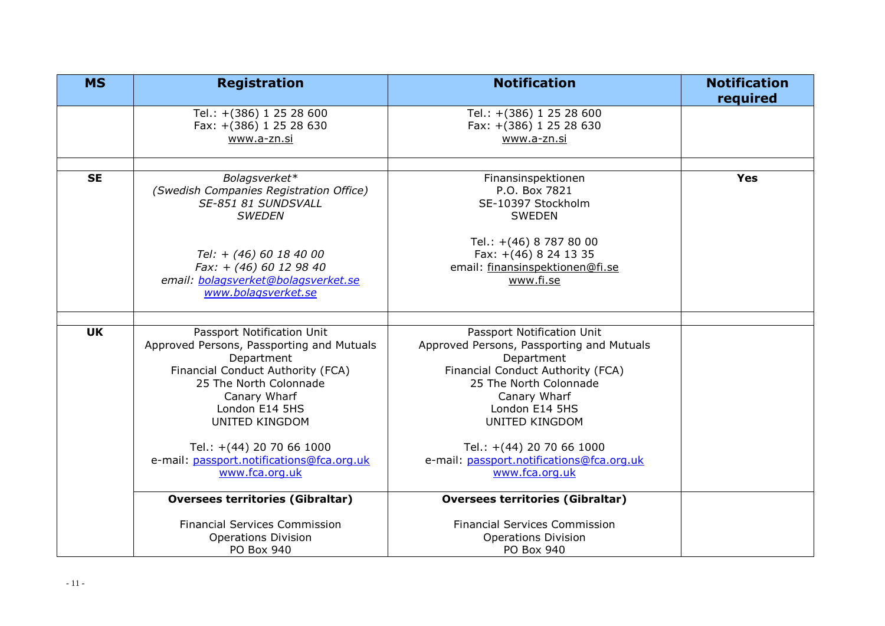| <b>MS</b> | <b>Registration</b>                                                                                                                                                                                                                                                                                         | <b>Notification</b>                                                                                                                                                                                                                                                                                  | <b>Notification</b><br>required |
|-----------|-------------------------------------------------------------------------------------------------------------------------------------------------------------------------------------------------------------------------------------------------------------------------------------------------------------|------------------------------------------------------------------------------------------------------------------------------------------------------------------------------------------------------------------------------------------------------------------------------------------------------|---------------------------------|
|           | Tel.: +(386) 1 25 28 600<br>Fax: +(386) 1 25 28 630<br>www.a-zn.si                                                                                                                                                                                                                                          | Tel.: +(386) 1 25 28 600<br>Fax: +(386) 1 25 28 630<br>www.a-zn.si                                                                                                                                                                                                                                   |                                 |
| <b>SE</b> | Bolagsverket*<br>(Swedish Companies Registration Office)<br>SE-851 81 SUNDSVALL<br><b>SWEDEN</b><br>Tel: + (46) 60 18 40 00<br>Fax: + (46) 60 12 98 40<br>email: bolagsverket@bolagsverket.se<br>www.bolagsverket.se                                                                                        | Finansinspektionen<br>P.O. Box 7821<br>SE-10397 Stockholm<br><b>SWEDEN</b><br>Tel.: +(46) 8 787 80 00<br>Fax: +(46) 8 24 13 35<br>email: finansinspektionen@fi.se<br>www.fi.se                                                                                                                       | <b>Yes</b>                      |
|           |                                                                                                                                                                                                                                                                                                             |                                                                                                                                                                                                                                                                                                      |                                 |
| <b>UK</b> | Passport Notification Unit<br>Approved Persons, Passporting and Mutuals<br>Department<br>Financial Conduct Authority (FCA)<br>25 The North Colonnade<br>Canary Wharf<br>London E14 5HS<br><b>UNITED KINGDOM</b><br>Tel.: +(44) 20 70 66 1000<br>e-mail: passport.notifications@fca.org.uk<br>www.fca.org.uk | Passport Notification Unit<br>Approved Persons, Passporting and Mutuals<br>Department<br>Financial Conduct Authority (FCA)<br>25 The North Colonnade<br>Canary Wharf<br>London E14 5HS<br>UNITED KINGDOM<br>Tel.: +(44) 20 70 66 1000<br>e-mail: passport.notifications@fca.org.uk<br>www.fca.org.uk |                                 |
|           | <b>Oversees territories (Gibraltar)</b>                                                                                                                                                                                                                                                                     | <b>Oversees territories (Gibraltar)</b>                                                                                                                                                                                                                                                              |                                 |
|           | <b>Financial Services Commission</b><br><b>Operations Division</b><br>PO Box 940                                                                                                                                                                                                                            | <b>Financial Services Commission</b><br><b>Operations Division</b><br>PO Box 940                                                                                                                                                                                                                     |                                 |